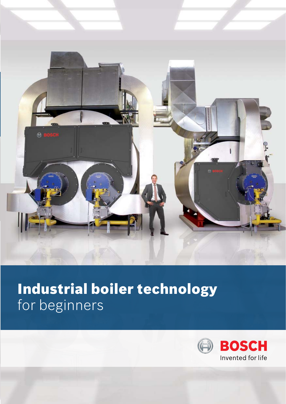

# Industrial boiler technology for beginners

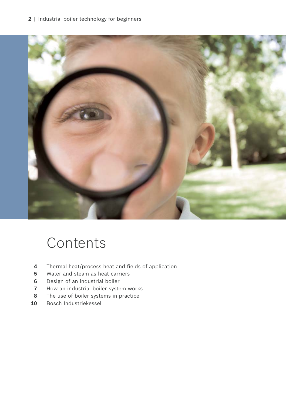## | Industrial boiler technology for beginners



# Contents

- Thermal heat/process heat and fields of application
- Water and steam as heat carriers
- Design of an industrial boiler
- How an industrial boiler system works
- The use of boiler systems in practice
- Bosch Industriekessel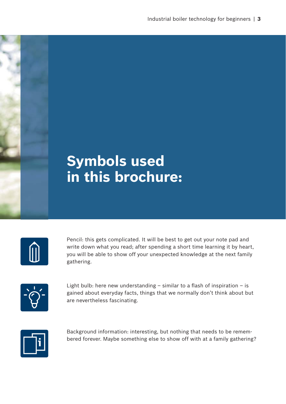# **Symbols used in this brochure:**

|  | <b>Service Service</b> |  |
|--|------------------------|--|
|  |                        |  |

Pencil: this gets complicated. It will be best to get out your note pad and write down what you read; after spending a short time learning it by heart, you will be able to show off your unexpected knowledge at the next family gathering.



Light bulb: here new understanding  $-$  similar to a flash of inspiration  $-$  is gained about everyday facts, things that we normally don't think about but are nevertheless fascinating.



Background information: interesting, but nothing that needs to be remembered forever. Maybe something else to show off with at a family gathering?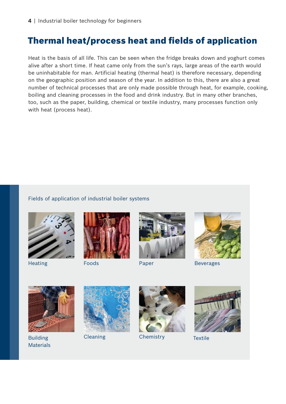## Thermal heat/process heat and fields of application

Heat is the basis of all life. This can be seen when the fridge breaks down and yoghurt comes alive after a short time. If heat came only from the sun's rays, large areas of the earth would be uninhabitable for man. Artificial heating (thermal heat) is therefore necessary, depending on the geographic position and season of the year. In addition to this, there are also a great number of technical processes that are only made possible through heat, for example, cooking, boiling and cleaning processes in the food and drink industry. But in many other branches, too, such as the paper, building, chemical or textile industry, many processes function only with heat (process heat).

### Fields of application of industrial boiler systems









Heating **Foods** Paper Beverages



Materials



Building Cleaning Chemistry Textile



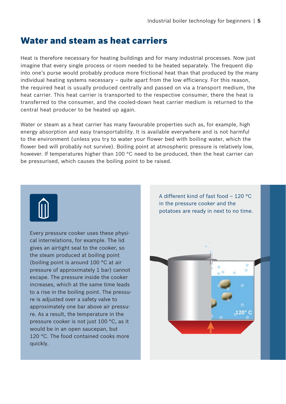## Water and steam as heat carriers

Heat is therefore necessary for heating buildings and for many industrial processes. Now just imagine that every single process or room needed to be heated separately. The frequent dip into one's purse would probably produce more frictional heat than that produced by the many individual heating systems necessary – quite apart from the low efficiency. For this reason, the required heat is usually produced centrally and passed on via a transport medium, the heat carrier. This heat carrier is transported to the respective consumer, there the heat is transferred to the consumer, and the cooled-down heat carrier medium is returned to the central heat producer to be heated up again.

Water or steam as a heat carrier has many favourable properties such as, for example, high energy absorption and easy transportability. It is available everywhere and is not harmful to the environment (unless you try to water your flower bed with boiling water, which the flower bed will probably not survive). Boiling point at atmospheric pressure is relatively low, however. If temperatures higher than 100 °C need to be produced, then the heat carrier can be pressurised, which causes the boiling point to be raised.



Every pressure cooker uses these physical interrelations, for example. The lid gives an airtight seal to the cooker, so the steam produced at boiling point (boiling point is around 100 °C at air pressure of approximately 1 bar) cannot escape. The pressure inside the cooker increases, which at the same time leads to a rise in the boiling point. The pressure is adjusted over a safety valve to approximately one bar above air pressure. As a result, the temperature in the pressure cooker is not just 100 °C, as it would be in an open saucepan, but 120 °C. The food contained cooks more quickly.

A different kind of fast food – 120 °C in the pressure cooker and the potatoes are ready in next to no time.  $120°$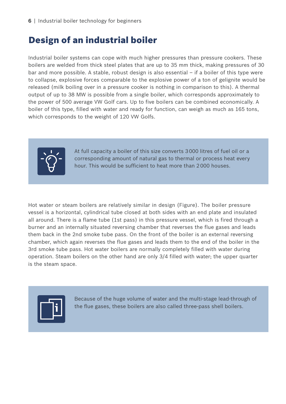## Design of an industrial boiler

Industrial boiler systems can cope with much higher pressures than pressure cookers. These boilers are welded from thick steel plates that are up to 35 mm thick, making pressures of 30 bar and more possible. A stable, robust design is also essential – if a boiler of this type were to collapse, explosive forces comparable to the explosive power of a ton of gelignite would be released (milk boiling over in a pressure cooker is nothing in comparison to this). A thermal output of up to 38 MW is possible from a single boiler, which corresponds approximately to the power of 500 average VW Golf cars. Up to five boilers can be combined economically. A boiler of this type, filled with water and ready for function, can weigh as much as 165 tons, which corresponds to the weight of 120 VW Golfs.



At full capacity a boiler of this size converts 3 000 litres of fuel oil or a corresponding amount of natural gas to thermal or process heat every hour. This would be sufficient to heat more than 2 000 houses.

Hot water or steam boilers are relatively similar in design (Figure). The boiler pressure vessel is a horizontal, cylindrical tube closed at both sides with an end plate and insulated all around. There is a flame tube (1st pass) in this pressure vessel, which is fired through a burner and an internally situated reversing chamber that reverses the flue gases and leads them back in the 2nd smoke tube pass. On the front of the boiler is an external reversing chamber, which again reverses the flue gases and leads them to the end of the boiler in the 3rd smoke tube pass. Hot water boilers are normally completely filled with water during operation. Steam boilers on the other hand are only 3/4 filled with water; the upper quarter is the steam space.



Because of the huge volume of water and the multi-stage lead-through of the flue gases, these boilers are also called three-pass shell boilers.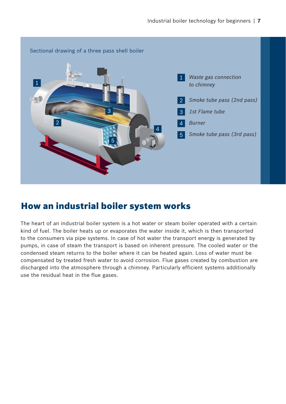

## How an industrial boiler system works

The heart of an industrial boiler system is a hot water or steam boiler operated with a certain kind of fuel. The boiler heats up or evaporates the water inside it, which is then transported to the consumers via pipe systems. In case of hot water the transport energy is generated by pumps, in case of steam the transport is based on inherent pressure. The cooled water or the condensed steam returns to the boiler where it can be heated again. Loss of water must be compensated by treated fresh water to avoid corrosion. Flue gases created by combustion are discharged into the atmosphere through a chimney. Particularly efficient systems additionally use the residual heat in the flue gases.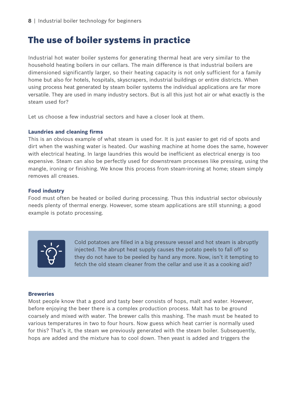## The use of boiler systems in practice

Industrial hot water boiler systems for generating thermal heat are very similar to the household heating boilers in our cellars. The main difference is that industrial boilers are dimensioned significantly larger, so their heating capacity is not only sufficient for a family home but also for hotels, hospitals, skyscrapers, industrial buildings or entire districts. When using process heat generated by steam boiler systems the individual applications are far more versatile. They are used in many industry sectors. But is all this just hot air or what exactly is the steam used for?

Let us choose a few industrial sectors and have a closer look at them.

### **Laundries and cleaning firms**

This is an obvious example of what steam is used for. It is just easier to get rid of spots and dirt when the washing water is heated. Our washing machine at home does the same, however with electrical heating. In large laundries this would be inefficient as electrical energy is too expensive. Steam can also be perfectly used for downstream processes like pressing, using the mangle, ironing or finishing. We know this process from steam-ironing at home; steam simply removes all creases.

### **Food industry**

Food must often be heated or boiled during processing. Thus this industrial sector obviously needs plenty of thermal energy. However, some steam applications are still stunning; a good example is potato processing.



Cold potatoes are filled in a big pressure vessel and hot steam is abruptly injected. The abrupt heat supply causes the potato peels to fall off so they do not have to be peeled by hand any more. Now, isn't it tempting to fetch the old steam cleaner from the cellar and use it as a cooking aid?

#### **Breweries**

Most people know that a good and tasty beer consists of hops, malt and water. However, before enjoying the beer there is a complex production process. Malt has to be ground coarsely and mixed with water. The brewer calls this mashing. The mash must be heated to various temperatures in two to four hours. Now guess which heat carrier is normally used for this? That's it, the steam we previously generated with the steam boiler. Subsequently, hops are added and the mixture has to cool down. Then yeast is added and triggers the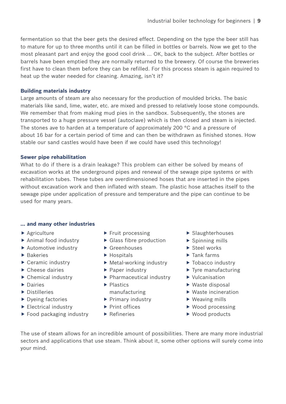fermentation so that the beer gets the desired effect. Depending on the type the beer still has to mature for up to three months until it can be filled in bottles or barrels. Now we get to the most pleasant part and enjoy the good cool drink … OK, back to the subject. After bottles or barrels have been emptied they are normally returned to the brewery. Of course the breweries first have to clean them before they can be refilled. For this process steam is again required to heat up the water needed for cleaning. Amazing, isn't it?

### **Building materials industry**

Large amounts of steam are also necessary for the production of moulded bricks. The basic materials like sand, lime, water, etc. are mixed and pressed to relatively loose stone compounds. We remember that from making mud pies in the sandbox. Subsequently, the stones are transported to a huge pressure vessel (autoclave) which is then closed and steam is injected. The stones ave to harden at a temperature of approximately 200  $\degree$ C and a pressure of about 16 bar for a certain period of time and can then be withdrawn as finished stones. How stable our sand castles would have been if we could have used this technology!

## **Sewer pipe rehabilitation**

What to do if there is a drain leakage? This problem can either be solved by means of excavation works at the underground pipes and renewal of the sewage pipe systems or with rehabilitation tubes. These tubes are overdimensioned hoses that are inserted in the pipes without excavation work and then inflated with steam. The plastic hose attaches itself to the sewage pipe under application of pressure and temperature and the pipe can continue to be used for many years.

## **… and many other industries**

- $\blacktriangleright$  Agriculture
- $\blacktriangleright$  Animal food industry
- $\blacktriangleright$  Automotive industry
- $\blacktriangleright$  Bakeries
- $\blacktriangleright$  Ceramic industry
- $\blacktriangleright$  Cheese dairies
- $\blacktriangleright$  Chemical industry
- $\blacktriangleright$  Dairies
- $\blacktriangleright$  Distilleries
- $\blacktriangleright$  Dyeing factories
- $\blacktriangleright$  Electrical industry
- $\blacktriangleright$  Food packaging industry
- $\blacktriangleright$  Fruit processing
- $\blacktriangleright$  Glass fibre production
- $\blacktriangleright$  Greenhouses
- $\blacktriangleright$  Hospitals
- $\blacktriangleright$  Metal-working industry
- $\blacktriangleright$  Paper industry
- $\blacktriangleright$  Pharmaceutical industry
- $\blacktriangleright$  Plastics manufacturing
- $\blacktriangleright$  Primary industry
- $\blacktriangleright$  Print offices
- $\blacktriangleright$  Refineries
- $\blacktriangleright$  Slaughterhouses
- $\blacktriangleright$  Spinning mills
- $\blacktriangleright$  Steel works
- $\blacktriangleright$  Tank farms
- $\blacktriangleright$  Tobacco industry
- $\blacktriangleright$  Tyre manufacturing
- $\blacktriangleright$  Vulcanisation
- $\blacktriangleright$  Waste disposal
- $\blacktriangleright$  Waste incineration
- $\blacktriangleright$  Weaving mills
- $\blacktriangleright$  Wood processing
- $\blacktriangleright$  Wood products

The use of steam allows for an incredible amount of possibilities. There are many more industrial sectors and applications that use steam. Think about it, some other options will surely come into your mind.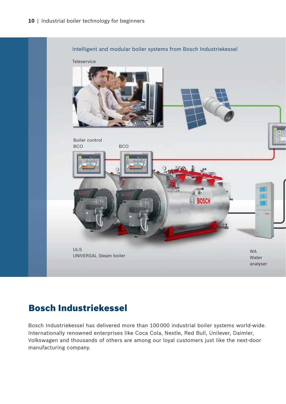

## Bosch Industriekessel

Bosch Industriekessel has delivered more than 100 000 industrial boiler systems world-wide. Internationally renowned enterprises like Coca Cola, Nestle, Red Bull, Unilever, Daimler, Volkswagen and thousands of others are among our loyal customers just like the next-door manufacturing company.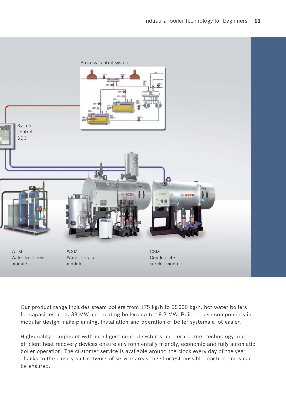

Our product range includes steam boilers from 175 kg/h to 55 000 kg/h, hot water boilers for capacities up to 38 MW and heating boilers up to 19.2 MW. Boiler house components in modular design make planning, installation and operation of boiler systems a lot easier.

High-quality equipment with intelligent control systems, modern burner technology and efficient heat recovery devices ensure environmentally friendly, economic and fully automatic boiler operation. The customer service is available around the clock every day of the year. Thanks to the closely knit network of service areas the shortest possible reaction times can be ensured.